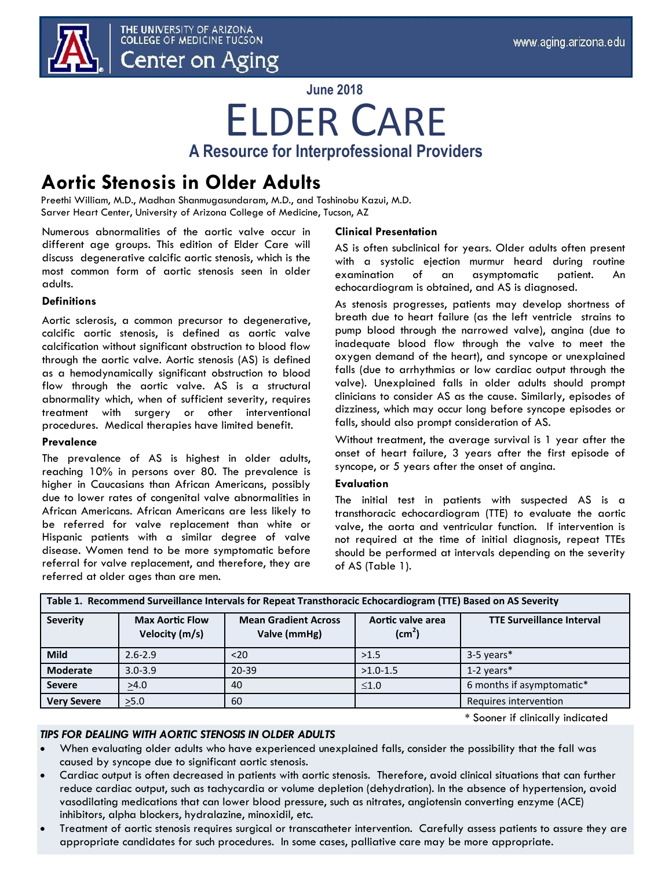

THE UNIVERSITY OF ARIZONA **COLLEGE OF MEDICINE TUCSON** Center on Aging

**June 2018**

## ELDER CARE **A Resource for Interprofessional Providers**

### **Aortic Stenosis in Older Adults**

Preethi William, M.D., Madhan Shanmugasundaram, M.D., and Toshinobu Kazui, M.D. Sarver Heart Center, University of Arizona College of Medicine, Tucson, AZ

Numerous abnormalities of the aortic valve occur in different age groups. This edition of Elder Care will discuss degenerative calcific aortic stenosis, which is the most common form of aortic stenosis seen in older adults.

### **Definitions**

Aortic sclerosis, a common precursor to degenerative, calcific aortic stenosis, is defined as aortic valve calcification without significant obstruction to blood flow through the aortic valve. Aortic stenosis (AS) is defined as a hemodynamically significant obstruction to blood flow through the aortic valve. AS is a structural abnormality which, when of sufficient severity, requires treatment with surgery or other interventional procedures. Medical therapies have limited benefit.

### **Prevalence**

The prevalence of AS is highest in older adults, reaching 10% in persons over 80. The prevalence is higher in Caucasians than African Americans, possibly due to lower rates of congenital valve abnormalities in African Americans. African Americans are less likely to be referred for valve replacement than white or Hispanic patients with a similar degree of valve disease. Women tend to be more symptomatic before referral for valve replacement, and therefore, they are referred at older ages than are men.

### **Clinical Presentation**

AS is often subclinical for years. Older adults often present with a systolic ejection murmur heard during routine examination of an asymptomatic patient. An echocardiogram is obtained, and AS is diagnosed.

As stenosis progresses, patients may develop shortness of breath due to heart failure (as the left ventricle strains to pump blood through the narrowed valve), angina (due to inadequate blood flow through the valve to meet the oxygen demand of the heart), and syncope or unexplained falls (due to arrhythmias or low cardiac output through the valve). Unexplained falls in older adults should prompt clinicians to consider AS as the cause. Similarly, episodes of dizziness, which may occur long before syncope episodes or falls, should also prompt consideration of AS.

Without treatment, the average survival is 1 year after the onset of heart failure, 3 years after the first episode of syncope, or 5 years after the onset of angina.

### **Evaluation**

The initial test in patients with suspected AS is a transthoracic echocardiogram (TTE) to evaluate the aortic valve, the aorta and ventricular function. If intervention is not required at the time of initial diagnosis, repeat TTEs should be performed at intervals depending on the severity of AS (Table 1).

| Table 1. Recommend Surveillance Intervals for Repeat Transthoracic Echocardiogram (TTE) Based on AS Severity |                                          |                                             |                                         |                                  |
|--------------------------------------------------------------------------------------------------------------|------------------------------------------|---------------------------------------------|-----------------------------------------|----------------------------------|
| <b>Severity</b>                                                                                              | <b>Max Aortic Flow</b><br>Velocity (m/s) | <b>Mean Gradient Across</b><br>Valve (mmHg) | Aortic valve area<br>(cm <sup>2</sup> ) | <b>TTE Surveillance Interval</b> |
| <b>Mild</b>                                                                                                  | $2.6 - 2.9$                              | $20$                                        | >1.5                                    | 3-5 years*                       |
| <b>Moderate</b>                                                                                              | $3.0 - 3.9$                              | $20 - 39$                                   | $>1.0-1.5$                              | 1-2 years*                       |
| <b>Severe</b>                                                                                                | >4.0                                     | 40                                          | $\leq 1.0$                              | 6 months if asymptomatic*        |
| <b>Very Severe</b>                                                                                           | >5.0                                     | 60                                          |                                         | Requires intervention            |

\* Sooner if clinically indicated

### *TIPS FOR DEALING WITH AORTIC STENOSIS IN OLDER ADULTS*

- When evaluating older adults who have experienced unexplained falls, consider the possibility that the fall was caused by syncope due to significant aortic stenosis.
- Cardiac output is often decreased in patients with aortic stenosis. Therefore, avoid clinical situations that can further reduce cardiac output, such as tachycardia or volume depletion (dehydration). In the absence of hypertension, avoid vasodilating medications that can lower blood pressure, such as nitrates, angiotensin converting enzyme (ACE) inhibitors, alpha blockers, hydralazine, minoxidil, etc.
- Treatment of aortic stenosis requires surgical or transcatheter intervention. Carefully assess patients to assure they are appropriate candidates for such procedures. In some cases, palliative care may be more appropriate.